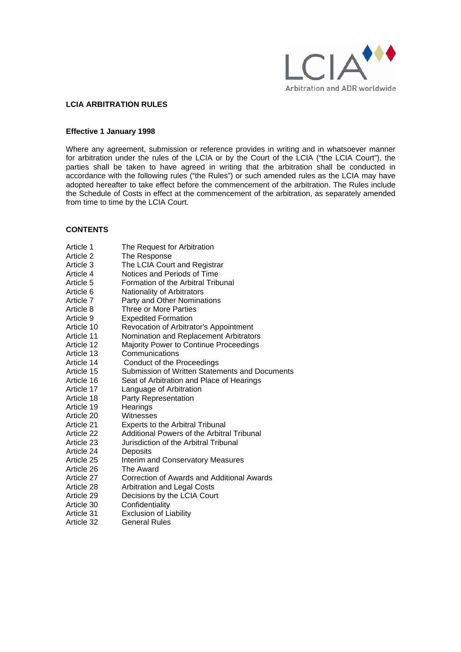

### **LCIA ARBITRATION RULES**

#### **Effective 1 January 1998**

Where any agreement, submission or reference provides in writing and in whatsoever manner for arbitration under the rules of the LCIA or by the Court of the LCIA ("the LCIA Court"), the parties shall be taken to have agreed in writing that the arbitration shall be conducted in accordance with the following rules ("the Rules") or such amended rules as the LCIA may have adopted hereafter to take effect before the commencement of the arbitration. The Rules include the Schedule of Costs in effect at the commencement of the arbitration, as separately amended from time to time by the LCIA Court.

### **CONTENTS**

- Article 1 The Request for Arbitration
- Article 2 The Response
- Article 3 The LCIA Court and Registrar
- Article 4 Notices and Periods of Time
- Article 5 Formation of the Arbitral Tribunal<br>Article 6 Nationality of Arbitrators
- Article 6 **Nationality of Arbitrators**<br>Article 7 **Party and Other Nomina**
- Party and Other Nominations
- Article 8 Three or More Parties
- Article 9 Expedited Formation<br>Article 10 Revocation of Arbitra
- Article 10 Revocation of Arbitrator's Appointment<br>Article 11 Nomination and Replacement Arbitrator
- Nomination and Replacement Arbitrators
- Article 12 Majority Power to Continue Proceedings
- Article 13 Communications
- Article 14 Conduct of the Proceedings
- Article 15 Submission of Written Statements and Documents
- Article 16 Seat of Arbitration and Place of Hearings
- Article 17 Language of Arbitration
- Article 18 Party Representation
- Article 19 Hearings
- Article 20 Witnesses
- Article 21 Experts to the Arbitral Tribunal
- Article 22 Additional Powers of the Arbitral Tribunal
- Article 23 Jurisdiction of the Arbitral Tribunal
- Article 24 Deposits
- Article 25 Interim and Conservatory Measures
- Article 26 The Award
- Article 27 Correction of Awards and Additional Awards
- Article 28 Arbitration and Legal Costs
- Article 29 Decisions by the LCIA Court
- Article 30 Confidentiality
- Article 31 Exclusion of Liability
- Article 32 General Rules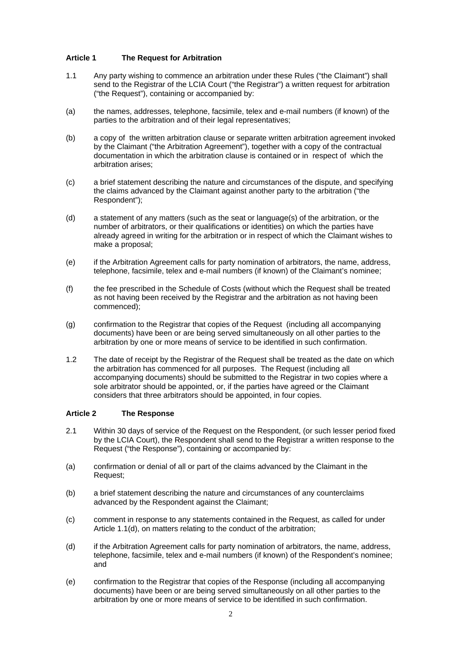## **Article 1 The Request for Arbitration**

- 1.1 Any party wishing to commence an arbitration under these Rules ("the Claimant") shall send to the Registrar of the LCIA Court ("the Registrar") a written request for arbitration ("the Request"), containing or accompanied by:
- (a) the names, addresses, telephone, facsimile, telex and e-mail numbers (if known) of the parties to the arbitration and of their legal representatives;
- (b) a copy of the written arbitration clause or separate written arbitration agreement invoked by the Claimant ("the Arbitration Agreement"), together with a copy of the contractual documentation in which the arbitration clause is contained or in respect of which the arbitration arises;
- (c) a brief statement describing the nature and circumstances of the dispute, and specifying the claims advanced by the Claimant against another party to the arbitration ("the Respondent");
- (d) a statement of any matters (such as the seat or language(s) of the arbitration, or the number of arbitrators, or their qualifications or identities) on which the parties have already agreed in writing for the arbitration or in respect of which the Claimant wishes to make a proposal;
- (e) if the Arbitration Agreement calls for party nomination of arbitrators, the name, address, telephone, facsimile, telex and e-mail numbers (if known) of the Claimant's nominee;
- (f) the fee prescribed in the Schedule of Costs (without which the Request shall be treated as not having been received by the Registrar and the arbitration as not having been commenced);
- (g) confirmation to the Registrar that copies of the Request (including all accompanying documents) have been or are being served simultaneously on all other parties to the arbitration by one or more means of service to be identified in such confirmation.
- 1.2 The date of receipt by the Registrar of the Request shall be treated as the date on which the arbitration has commenced for all purposes. The Request (including all accompanying documents) should be submitted to the Registrar in two copies where a sole arbitrator should be appointed, or, if the parties have agreed or the Claimant considers that three arbitrators should be appointed, in four copies.

#### **Article 2 The Response**

- 2.1 Within 30 days of service of the Request on the Respondent, (or such lesser period fixed by the LCIA Court), the Respondent shall send to the Registrar a written response to the Request ("the Response"), containing or accompanied by:
- (a) confirmation or denial of all or part of the claims advanced by the Claimant in the Request;
- (b) a brief statement describing the nature and circumstances of any counterclaims advanced by the Respondent against the Claimant;
- (c) comment in response to any statements contained in the Request, as called for under Article 1.1(d), on matters relating to the conduct of the arbitration;
- (d) if the Arbitration Agreement calls for party nomination of arbitrators, the name, address, telephone, facsimile, telex and e-mail numbers (if known) of the Respondent's nominee; and
- (e) confirmation to the Registrar that copies of the Response (including all accompanying documents) have been or are being served simultaneously on all other parties to the arbitration by one or more means of service to be identified in such confirmation.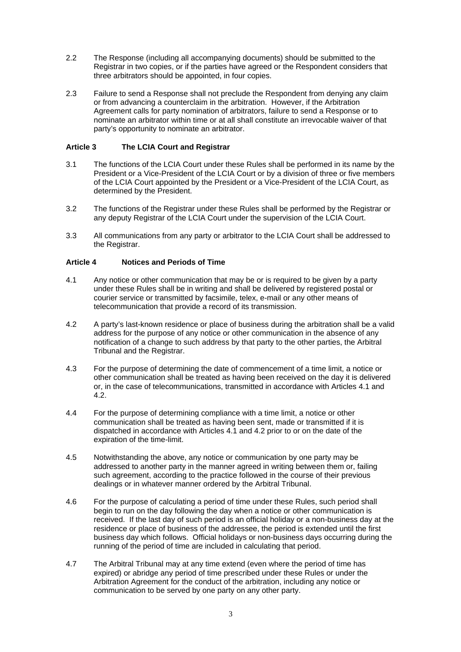- 2.2 The Response (including all accompanying documents) should be submitted to the Registrar in two copies, or if the parties have agreed or the Respondent considers that three arbitrators should be appointed, in four copies.
- 2.3 Failure to send a Response shall not preclude the Respondent from denying any claim or from advancing a counterclaim in the arbitration. However, if the Arbitration Agreement calls for party nomination of arbitrators, failure to send a Response or to nominate an arbitrator within time or at all shall constitute an irrevocable waiver of that party's opportunity to nominate an arbitrator.

# **Article 3 The LCIA Court and Registrar**

- 3.1 The functions of the LCIA Court under these Rules shall be performed in its name by the President or a Vice-President of the LCIA Court or by a division of three or five members of the LCIA Court appointed by the President or a Vice-President of the LCIA Court, as determined by the President.
- 3.2 The functions of the Registrar under these Rules shall be performed by the Registrar or any deputy Registrar of the LCIA Court under the supervision of the LCIA Court.
- 3.3 All communications from any party or arbitrator to the LCIA Court shall be addressed to the Registrar.

## **Article 4 Notices and Periods of Time**

- 4.1 Any notice or other communication that may be or is required to be given by a party under these Rules shall be in writing and shall be delivered by registered postal or courier service or transmitted by facsimile, telex, e-mail or any other means of telecommunication that provide a record of its transmission.
- 4.2 A party's last-known residence or place of business during the arbitration shall be a valid address for the purpose of any notice or other communication in the absence of any notification of a change to such address by that party to the other parties, the Arbitral Tribunal and the Registrar.
- 4.3 For the purpose of determining the date of commencement of a time limit, a notice or other communication shall be treated as having been received on the day it is delivered or, in the case of telecommunications, transmitted in accordance with Articles 4.1 and 4.2.
- 4.4 For the purpose of determining compliance with a time limit, a notice or other communication shall be treated as having been sent, made or transmitted if it is dispatched in accordance with Articles 4.1 and 4.2 prior to or on the date of the expiration of the time-limit.
- 4.5 Notwithstanding the above, any notice or communication by one party may be addressed to another party in the manner agreed in writing between them or, failing such agreement, according to the practice followed in the course of their previous dealings or in whatever manner ordered by the Arbitral Tribunal.
- 4.6 For the purpose of calculating a period of time under these Rules, such period shall begin to run on the day following the day when a notice or other communication is received. If the last day of such period is an official holiday or a non-business day at the residence or place of business of the addressee, the period is extended until the first business day which follows. Official holidays or non-business days occurring during the running of the period of time are included in calculating that period.
- 4.7 The Arbitral Tribunal may at any time extend (even where the period of time has expired) or abridge any period of time prescribed under these Rules or under the Arbitration Agreement for the conduct of the arbitration, including any notice or communication to be served by one party on any other party.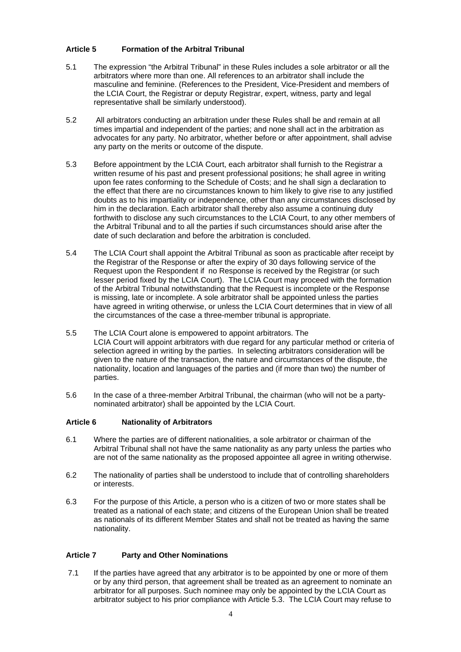# **Article 5 Formation of the Arbitral Tribunal**

- 5.1 The expression "the Arbitral Tribunal" in these Rules includes a sole arbitrator or all the arbitrators where more than one. All references to an arbitrator shall include the masculine and feminine. (References to the President, Vice-President and members of the LCIA Court, the Registrar or deputy Registrar, expert, witness, party and legal representative shall be similarly understood).
- 5.2 All arbitrators conducting an arbitration under these Rules shall be and remain at all times impartial and independent of the parties; and none shall act in the arbitration as advocates for any party. No arbitrator, whether before or after appointment, shall advise any party on the merits or outcome of the dispute.
- 5.3 Before appointment by the LCIA Court, each arbitrator shall furnish to the Registrar a written resume of his past and present professional positions; he shall agree in writing upon fee rates conforming to the Schedule of Costs; and he shall sign a declaration to the effect that there are no circumstances known to him likely to give rise to any justified doubts as to his impartiality or independence, other than any circumstances disclosed by him in the declaration. Each arbitrator shall thereby also assume a continuing duty forthwith to disclose any such circumstances to the LCIA Court, to any other members of the Arbitral Tribunal and to all the parties if such circumstances should arise after the date of such declaration and before the arbitration is concluded.
- 5.4 The LCIA Court shall appoint the Arbitral Tribunal as soon as practicable after receipt by the Registrar of the Response or after the expiry of 30 days following service of the Request upon the Respondent if no Response is received by the Registrar (or such lesser period fixed by the LCIA Court). The LCIA Court may proceed with the formation of the Arbitral Tribunal notwithstanding that the Request is incomplete or the Response is missing, late or incomplete. A sole arbitrator shall be appointed unless the parties have agreed in writing otherwise, or unless the LCIA Court determines that in view of all the circumstances of the case a three-member tribunal is appropriate.
- 5.5 The LCIA Court alone is empowered to appoint arbitrators. The LCIA Court will appoint arbitrators with due regard for any particular method or criteria of selection agreed in writing by the parties. In selecting arbitrators consideration will be given to the nature of the transaction, the nature and circumstances of the dispute, the nationality, location and languages of the parties and (if more than two) the number of parties.
- 5.6 In the case of a three-member Arbitral Tribunal, the chairman (who will not be a partynominated arbitrator) shall be appointed by the LCIA Court.

## **Article 6 Nationality of Arbitrators**

- 6.1 Where the parties are of different nationalities, a sole arbitrator or chairman of the Arbitral Tribunal shall not have the same nationality as any party unless the parties who are not of the same nationality as the proposed appointee all agree in writing otherwise.
- 6.2 The nationality of parties shall be understood to include that of controlling shareholders or interests.
- 6.3 For the purpose of this Article, a person who is a citizen of two or more states shall be treated as a national of each state; and citizens of the European Union shall be treated as nationals of its different Member States and shall not be treated as having the same nationality.

## **Article 7 Party and Other Nominations**

 7.1 If the parties have agreed that any arbitrator is to be appointed by one or more of them or by any third person, that agreement shall be treated as an agreement to nominate an arbitrator for all purposes. Such nominee may only be appointed by the LCIA Court as arbitrator subject to his prior compliance with Article 5.3. The LCIA Court may refuse to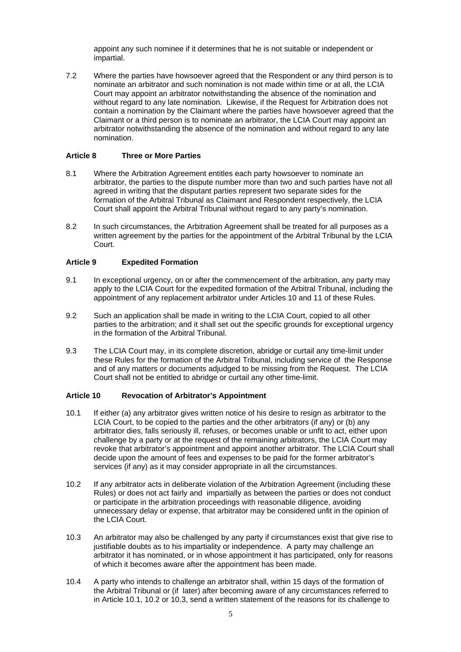appoint any such nominee if it determines that he is not suitable or independent or impartial.

7.2 Where the parties have howsoever agreed that the Respondent or any third person is to nominate an arbitrator and such nomination is not made within time or at all, the LCIA Court may appoint an arbitrator notwithstanding the absence of the nomination and without regard to any late nomination. Likewise, if the Request for Arbitration does not contain a nomination by the Claimant where the parties have howsoever agreed that the Claimant or a third person is to nominate an arbitrator, the LCIA Court may appoint an arbitrator notwithstanding the absence of the nomination and without regard to any late nomination.

### **Article 8 Three or More Parties**

- 8.1 Where the Arbitration Agreement entitles each party howsoever to nominate an arbitrator, the parties to the dispute number more than two and such parties have not all agreed in writing that the disputant parties represent two separate sides for the formation of the Arbitral Tribunal as Claimant and Respondent respectively, the LCIA Court shall appoint the Arbitral Tribunal without regard to any party's nomination.
- 8.2 In such circumstances, the Arbitration Agreement shall be treated for all purposes as a written agreement by the parties for the appointment of the Arbitral Tribunal by the LCIA Court.

### **Article 9 Expedited Formation**

- 9.1 In exceptional urgency, on or after the commencement of the arbitration, any party may apply to the LCIA Court for the expedited formation of the Arbitral Tribunal, including the appointment of any replacement arbitrator under Articles 10 and 11 of these Rules.
- 9.2 Such an application shall be made in writing to the LCIA Court, copied to all other parties to the arbitration; and it shall set out the specific grounds for exceptional urgency in the formation of the Arbitral Tribunal.
- 9.3 The LCIA Court may, in its complete discretion, abridge or curtail any time-limit under these Rules for the formation of the Arbitral Tribunal, including service of the Response and of any matters or documents adjudged to be missing from the Request. The LCIA Court shall not be entitled to abridge or curtail any other time-limit.

#### **Article 10 Revocation of Arbitrator's Appointment**

- 10.1 If either (a) any arbitrator gives written notice of his desire to resign as arbitrator to the LCIA Court, to be copied to the parties and the other arbitrators (if any) or (b) any arbitrator dies, falls seriously ill, refuses, or becomes unable or unfit to act, either upon challenge by a party or at the request of the remaining arbitrators, the LCIA Court may revoke that arbitrator's appointment and appoint another arbitrator. The LCIA Court shall decide upon the amount of fees and expenses to be paid for the former arbitrator's services (if any) as it may consider appropriate in all the circumstances.
- 10.2 If any arbitrator acts in deliberate violation of the Arbitration Agreement (including these Rules) or does not act fairly and impartially as between the parties or does not conduct or participate in the arbitration proceedings with reasonable diligence, avoiding unnecessary delay or expense, that arbitrator may be considered unfit in the opinion of the LCIA Court.
- 10.3 An arbitrator may also be challenged by any party if circumstances exist that give rise to justifiable doubts as to his impartiality or independence. A party may challenge an arbitrator it has nominated, or in whose appointment it has participated, only for reasons of which it becomes aware after the appointment has been made.
- 10.4 A party who intends to challenge an arbitrator shall, within 15 days of the formation of the Arbitral Tribunal or (if later) after becoming aware of any circumstances referred to in Article 10.1, 10.2 or 10.3, send a written statement of the reasons for its challenge to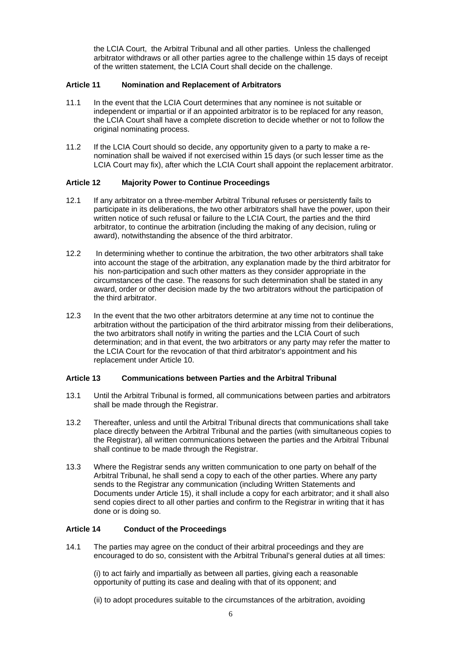the LCIA Court, the Arbitral Tribunal and all other parties. Unless the challenged arbitrator withdraws or all other parties agree to the challenge within 15 days of receipt of the written statement, the LCIA Court shall decide on the challenge.

## **Article 11 Nomination and Replacement of Arbitrators**

- 11.1 In the event that the LCIA Court determines that any nominee is not suitable or independent or impartial or if an appointed arbitrator is to be replaced for any reason, the LCIA Court shall have a complete discretion to decide whether or not to follow the original nominating process.
- 11.2 If the LCIA Court should so decide, any opportunity given to a party to make a renomination shall be waived if not exercised within 15 days (or such lesser time as the LCIA Court may fix), after which the LCIA Court shall appoint the replacement arbitrator.

## **Article 12 Majority Power to Continue Proceedings**

- 12.1 If any arbitrator on a three-member Arbitral Tribunal refuses or persistently fails to participate in its deliberations, the two other arbitrators shall have the power, upon their written notice of such refusal or failure to the LCIA Court, the parties and the third arbitrator, to continue the arbitration (including the making of any decision, ruling or award), notwithstanding the absence of the third arbitrator.
- 12.2 In determining whether to continue the arbitration, the two other arbitrators shall take into account the stage of the arbitration, any explanation made by the third arbitrator for his non-participation and such other matters as they consider appropriate in the circumstances of the case. The reasons for such determination shall be stated in any award, order or other decision made by the two arbitrators without the participation of the third arbitrator.
- 12.3 In the event that the two other arbitrators determine at any time not to continue the arbitration without the participation of the third arbitrator missing from their deliberations, the two arbitrators shall notify in writing the parties and the LCIA Court of such determination; and in that event, the two arbitrators or any party may refer the matter to the LCIA Court for the revocation of that third arbitrator's appointment and his replacement under Article 10.

# **Article 13 Communications between Parties and the Arbitral Tribunal**

- 13.1 Until the Arbitral Tribunal is formed, all communications between parties and arbitrators shall be made through the Registrar.
- 13.2 Thereafter, unless and until the Arbitral Tribunal directs that communications shall take place directly between the Arbitral Tribunal and the parties (with simultaneous copies to the Registrar), all written communications between the parties and the Arbitral Tribunal shall continue to be made through the Registrar.
- 13.3 Where the Registrar sends any written communication to one party on behalf of the Arbitral Tribunal, he shall send a copy to each of the other parties. Where any party sends to the Registrar any communication (including Written Statements and Documents under Article 15), it shall include a copy for each arbitrator; and it shall also send copies direct to all other parties and confirm to the Registrar in writing that it has done or is doing so.

# **Article 14 Conduct of the Proceedings**

14.1 The parties may agree on the conduct of their arbitral proceedings and they are encouraged to do so, consistent with the Arbitral Tribunal's general duties at all times:

(i) to act fairly and impartially as between all parties, giving each a reasonable opportunity of putting its case and dealing with that of its opponent; and

(ii) to adopt procedures suitable to the circumstances of the arbitration, avoiding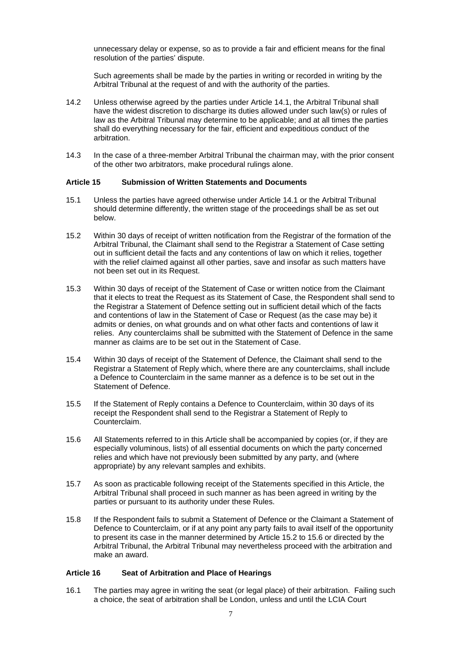unnecessary delay or expense, so as to provide a fair and efficient means for the final resolution of the parties' dispute.

Such agreements shall be made by the parties in writing or recorded in writing by the Arbitral Tribunal at the request of and with the authority of the parties.

- 14.2 Unless otherwise agreed by the parties under Article 14.1, the Arbitral Tribunal shall have the widest discretion to discharge its duties allowed under such law(s) or rules of law as the Arbitral Tribunal may determine to be applicable; and at all times the parties shall do everything necessary for the fair, efficient and expeditious conduct of the arbitration.
- 14.3 In the case of a three-member Arbitral Tribunal the chairman may, with the prior consent of the other two arbitrators, make procedural rulings alone.

#### **Article 15 Submission of Written Statements and Documents**

- 15.1 Unless the parties have agreed otherwise under Article 14.1 or the Arbitral Tribunal should determine differently, the written stage of the proceedings shall be as set out below.
- 15.2 Within 30 days of receipt of written notification from the Registrar of the formation of the Arbitral Tribunal, the Claimant shall send to the Registrar a Statement of Case setting out in sufficient detail the facts and any contentions of law on which it relies, together with the relief claimed against all other parties, save and insofar as such matters have not been set out in its Request.
- 15.3 Within 30 days of receipt of the Statement of Case or written notice from the Claimant that it elects to treat the Request as its Statement of Case, the Respondent shall send to the Registrar a Statement of Defence setting out in sufficient detail which of the facts and contentions of law in the Statement of Case or Request (as the case may be) it admits or denies, on what grounds and on what other facts and contentions of law it relies. Any counterclaims shall be submitted with the Statement of Defence in the same manner as claims are to be set out in the Statement of Case.
- 15.4 Within 30 days of receipt of the Statement of Defence, the Claimant shall send to the Registrar a Statement of Reply which, where there are any counterclaims, shall include a Defence to Counterclaim in the same manner as a defence is to be set out in the Statement of Defence.
- 15.5 If the Statement of Reply contains a Defence to Counterclaim, within 30 days of its receipt the Respondent shall send to the Registrar a Statement of Reply to Counterclaim.
- 15.6 All Statements referred to in this Article shall be accompanied by copies (or, if they are especially voluminous, lists) of all essential documents on which the party concerned relies and which have not previously been submitted by any party, and (where appropriate) by any relevant samples and exhibits.
- 15.7 As soon as practicable following receipt of the Statements specified in this Article, the Arbitral Tribunal shall proceed in such manner as has been agreed in writing by the parties or pursuant to its authority under these Rules.
- 15.8 If the Respondent fails to submit a Statement of Defence or the Claimant a Statement of Defence to Counterclaim, or if at any point any party fails to avail itself of the opportunity to present its case in the manner determined by Article 15.2 to 15.6 or directed by the Arbitral Tribunal, the Arbitral Tribunal may nevertheless proceed with the arbitration and make an award.

### **Article 16 Seat of Arbitration and Place of Hearings**

16.1 The parties may agree in writing the seat (or legal place) of their arbitration. Failing such a choice, the seat of arbitration shall be London, unless and until the LCIA Court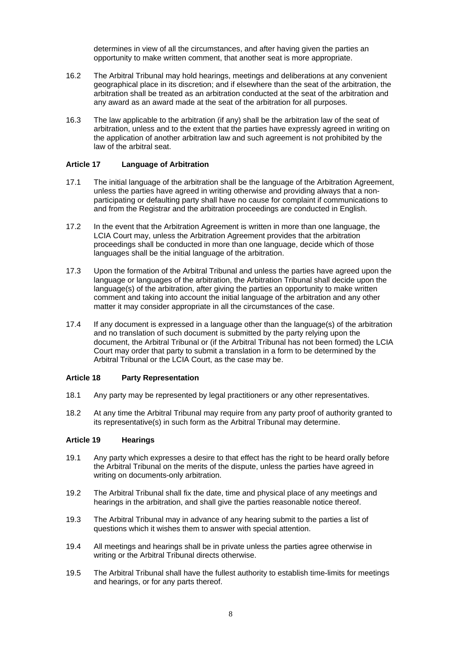determines in view of all the circumstances, and after having given the parties an opportunity to make written comment, that another seat is more appropriate.

- 16.2 The Arbitral Tribunal may hold hearings, meetings and deliberations at any convenient geographical place in its discretion; and if elsewhere than the seat of the arbitration, the arbitration shall be treated as an arbitration conducted at the seat of the arbitration and any award as an award made at the seat of the arbitration for all purposes.
- 16.3 The law applicable to the arbitration (if any) shall be the arbitration law of the seat of arbitration, unless and to the extent that the parties have expressly agreed in writing on the application of another arbitration law and such agreement is not prohibited by the law of the arbitral seat.

#### **Article 17 Language of Arbitration**

- 17.1 The initial language of the arbitration shall be the language of the Arbitration Agreement, unless the parties have agreed in writing otherwise and providing always that a nonparticipating or defaulting party shall have no cause for complaint if communications to and from the Registrar and the arbitration proceedings are conducted in English.
- 17.2 In the event that the Arbitration Agreement is written in more than one language, the LCIA Court may, unless the Arbitration Agreement provides that the arbitration proceedings shall be conducted in more than one language, decide which of those languages shall be the initial language of the arbitration.
- 17.3 Upon the formation of the Arbitral Tribunal and unless the parties have agreed upon the language or languages of the arbitration, the Arbitration Tribunal shall decide upon the language(s) of the arbitration, after giving the parties an opportunity to make written comment and taking into account the initial language of the arbitration and any other matter it may consider appropriate in all the circumstances of the case.
- 17.4 If any document is expressed in a language other than the language(s) of the arbitration and no translation of such document is submitted by the party relying upon the document, the Arbitral Tribunal or (if the Arbitral Tribunal has not been formed) the LCIA Court may order that party to submit a translation in a form to be determined by the Arbitral Tribunal or the LCIA Court, as the case may be.

#### **Article 18 Party Representation**

- 18.1 Any party may be represented by legal practitioners or any other representatives.
- 18.2 At any time the Arbitral Tribunal may require from any party proof of authority granted to its representative(s) in such form as the Arbitral Tribunal may determine.

### **Article 19 Hearings**

- 19.1 Any party which expresses a desire to that effect has the right to be heard orally before the Arbitral Tribunal on the merits of the dispute, unless the parties have agreed in writing on documents-only arbitration.
- 19.2 The Arbitral Tribunal shall fix the date, time and physical place of any meetings and hearings in the arbitration, and shall give the parties reasonable notice thereof.
- 19.3 The Arbitral Tribunal may in advance of any hearing submit to the parties a list of questions which it wishes them to answer with special attention.
- 19.4 All meetings and hearings shall be in private unless the parties agree otherwise in writing or the Arbitral Tribunal directs otherwise.
- 19.5 The Arbitral Tribunal shall have the fullest authority to establish time-limits for meetings and hearings, or for any parts thereof.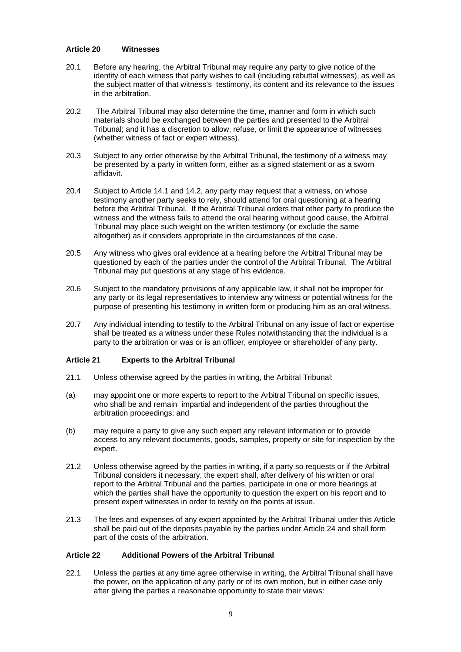# **Article 20 Witnesses**

- 20.1 Before any hearing, the Arbitral Tribunal may require any party to give notice of the identity of each witness that party wishes to call (including rebuttal witnesses), as well as the subject matter of that witness's testimony, its content and its relevance to the issues in the arbitration.
- 20.2 The Arbitral Tribunal may also determine the time, manner and form in which such materials should be exchanged between the parties and presented to the Arbitral Tribunal; and it has a discretion to allow, refuse, or limit the appearance of witnesses (whether witness of fact or expert witness).
- 20.3 Subject to any order otherwise by the Arbitral Tribunal, the testimony of a witness may be presented by a party in written form, either as a signed statement or as a sworn affidavit.
- 20.4 Subject to Article 14.1 and 14.2, any party may request that a witness, on whose testimony another party seeks to rely, should attend for oral questioning at a hearing before the Arbitral Tribunal. If the Arbitral Tribunal orders that other party to produce the witness and the witness fails to attend the oral hearing without good cause, the Arbitral Tribunal may place such weight on the written testimony (or exclude the same altogether) as it considers appropriate in the circumstances of the case.
- 20.5 Any witness who gives oral evidence at a hearing before the Arbitral Tribunal may be questioned by each of the parties under the control of the Arbitral Tribunal. The Arbitral Tribunal may put questions at any stage of his evidence.
- 20.6 Subject to the mandatory provisions of any applicable law, it shall not be improper for any party or its legal representatives to interview any witness or potential witness for the purpose of presenting his testimony in written form or producing him as an oral witness.
- 20.7 Any individual intending to testify to the Arbitral Tribunal on any issue of fact or expertise shall be treated as a witness under these Rules notwithstanding that the individual is a party to the arbitration or was or is an officer, employee or shareholder of any party.

## **Article 21 Experts to the Arbitral Tribunal**

- 21.1 Unless otherwise agreed by the parties in writing, the Arbitral Tribunal:
- (a) may appoint one or more experts to report to the Arbitral Tribunal on specific issues, who shall be and remain impartial and independent of the parties throughout the arbitration proceedings; and
- (b) may require a party to give any such expert any relevant information or to provide access to any relevant documents, goods, samples, property or site for inspection by the expert.
- 21.2 Unless otherwise agreed by the parties in writing, if a party so requests or if the Arbitral Tribunal considers it necessary, the expert shall, after delivery of his written or oral report to the Arbitral Tribunal and the parties, participate in one or more hearings at which the parties shall have the opportunity to question the expert on his report and to present expert witnesses in order to testify on the points at issue.
- 21.3 The fees and expenses of any expert appointed by the Arbitral Tribunal under this Article shall be paid out of the deposits payable by the parties under Article 24 and shall form part of the costs of the arbitration.

# **Article 22 Additional Powers of the Arbitral Tribunal**

22.1 Unless the parties at any time agree otherwise in writing, the Arbitral Tribunal shall have the power, on the application of any party or of its own motion, but in either case only after giving the parties a reasonable opportunity to state their views: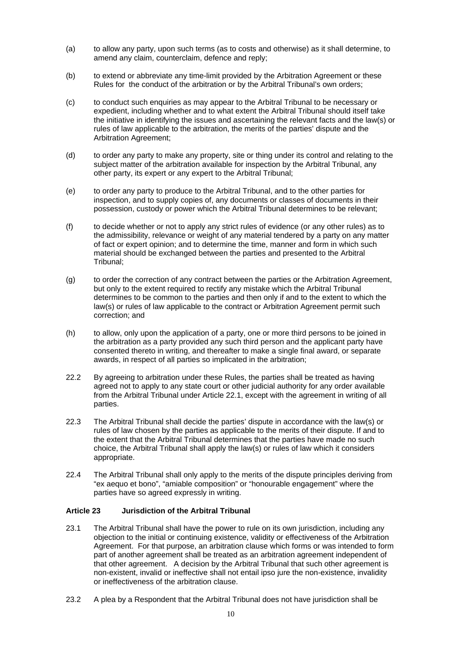- (a) to allow any party, upon such terms (as to costs and otherwise) as it shall determine, to amend any claim, counterclaim, defence and reply;
- (b) to extend or abbreviate any time-limit provided by the Arbitration Agreement or these Rules for the conduct of the arbitration or by the Arbitral Tribunal's own orders;
- (c) to conduct such enquiries as may appear to the Arbitral Tribunal to be necessary or expedient, including whether and to what extent the Arbitral Tribunal should itself take the initiative in identifying the issues and ascertaining the relevant facts and the law(s) or rules of law applicable to the arbitration, the merits of the parties' dispute and the Arbitration Agreement;
- (d) to order any party to make any property, site or thing under its control and relating to the subject matter of the arbitration available for inspection by the Arbitral Tribunal, any other party, its expert or any expert to the Arbitral Tribunal;
- (e) to order any party to produce to the Arbitral Tribunal, and to the other parties for inspection, and to supply copies of, any documents or classes of documents in their possession, custody or power which the Arbitral Tribunal determines to be relevant;
- (f) to decide whether or not to apply any strict rules of evidence (or any other rules) as to the admissibility, relevance or weight of any material tendered by a party on any matter of fact or expert opinion; and to determine the time, manner and form in which such material should be exchanged between the parties and presented to the Arbitral Tribunal;
- (g) to order the correction of any contract between the parties or the Arbitration Agreement, but only to the extent required to rectify any mistake which the Arbitral Tribunal determines to be common to the parties and then only if and to the extent to which the law(s) or rules of law applicable to the contract or Arbitration Agreement permit such correction; and
- (h) to allow, only upon the application of a party, one or more third persons to be joined in the arbitration as a party provided any such third person and the applicant party have consented thereto in writing, and thereafter to make a single final award, or separate awards, in respect of all parties so implicated in the arbitration;
- 22.2 By agreeing to arbitration under these Rules, the parties shall be treated as having agreed not to apply to any state court or other judicial authority for any order available from the Arbitral Tribunal under Article 22.1, except with the agreement in writing of all parties.
- 22.3 The Arbitral Tribunal shall decide the parties' dispute in accordance with the law(s) or rules of law chosen by the parties as applicable to the merits of their dispute. If and to the extent that the Arbitral Tribunal determines that the parties have made no such choice, the Arbitral Tribunal shall apply the law(s) or rules of law which it considers appropriate.
- 22.4 The Arbitral Tribunal shall only apply to the merits of the dispute principles deriving from "ex aequo et bono", "amiable composition" or "honourable engagement" where the parties have so agreed expressly in writing.

## **Article 23 Jurisdiction of the Arbitral Tribunal**

- 23.1 The Arbitral Tribunal shall have the power to rule on its own jurisdiction, including any objection to the initial or continuing existence, validity or effectiveness of the Arbitration Agreement. For that purpose, an arbitration clause which forms or was intended to form part of another agreement shall be treated as an arbitration agreement independent of that other agreement. A decision by the Arbitral Tribunal that such other agreement is non-existent, invalid or ineffective shall not entail ipso jure the non-existence, invalidity or ineffectiveness of the arbitration clause.
- 23.2 A plea by a Respondent that the Arbitral Tribunal does not have jurisdiction shall be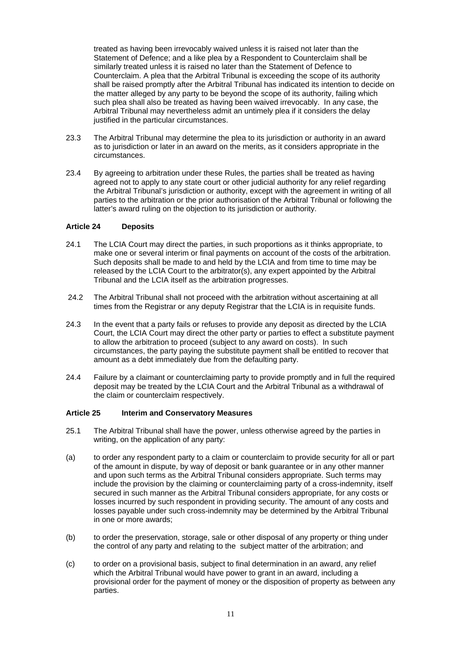treated as having been irrevocably waived unless it is raised not later than the Statement of Defence; and a like plea by a Respondent to Counterclaim shall be similarly treated unless it is raised no later than the Statement of Defence to Counterclaim. A plea that the Arbitral Tribunal is exceeding the scope of its authority shall be raised promptly after the Arbitral Tribunal has indicated its intention to decide on the matter alleged by any party to be beyond the scope of its authority, failing which such plea shall also be treated as having been waived irrevocably. In any case, the Arbitral Tribunal may nevertheless admit an untimely plea if it considers the delay justified in the particular circumstances.

- 23.3 The Arbitral Tribunal may determine the plea to its jurisdiction or authority in an award as to jurisdiction or later in an award on the merits, as it considers appropriate in the circumstances.
- 23.4 By agreeing to arbitration under these Rules, the parties shall be treated as having agreed not to apply to any state court or other judicial authority for any relief regarding the Arbitral Tribunal's jurisdiction or authority, except with the agreement in writing of all parties to the arbitration or the prior authorisation of the Arbitral Tribunal or following the latter's award ruling on the objection to its jurisdiction or authority.

### **Article 24 Deposits**

- 24.1 The LCIA Court may direct the parties, in such proportions as it thinks appropriate, to make one or several interim or final payments on account of the costs of the arbitration. Such deposits shall be made to and held by the LCIA and from time to time may be released by the LCIA Court to the arbitrator(s), any expert appointed by the Arbitral Tribunal and the LCIA itself as the arbitration progresses.
- 24.2 The Arbitral Tribunal shall not proceed with the arbitration without ascertaining at all times from the Registrar or any deputy Registrar that the LCIA is in requisite funds.
- 24.3 In the event that a party fails or refuses to provide any deposit as directed by the LCIA Court, the LCIA Court may direct the other party or parties to effect a substitute payment to allow the arbitration to proceed (subject to any award on costs). In such circumstances, the party paying the substitute payment shall be entitled to recover that amount as a debt immediately due from the defaulting party.
- 24.4 Failure by a claimant or counterclaiming party to provide promptly and in full the required deposit may be treated by the LCIA Court and the Arbitral Tribunal as a withdrawal of the claim or counterclaim respectively.

#### **Article 25 Interim and Conservatory Measures**

- 25.1 The Arbitral Tribunal shall have the power, unless otherwise agreed by the parties in writing, on the application of any party:
- (a) to order any respondent party to a claim or counterclaim to provide security for all or part of the amount in dispute, by way of deposit or bank guarantee or in any other manner and upon such terms as the Arbitral Tribunal considers appropriate. Such terms may include the provision by the claiming or counterclaiming party of a cross-indemnity, itself secured in such manner as the Arbitral Tribunal considers appropriate, for any costs or losses incurred by such respondent in providing security. The amount of any costs and losses payable under such cross-indemnity may be determined by the Arbitral Tribunal in one or more awards;
- (b) to order the preservation, storage, sale or other disposal of any property or thing under the control of any party and relating to the subject matter of the arbitration; and
- (c) to order on a provisional basis, subject to final determination in an award, any relief which the Arbitral Tribunal would have power to grant in an award, including a provisional order for the payment of money or the disposition of property as between any parties.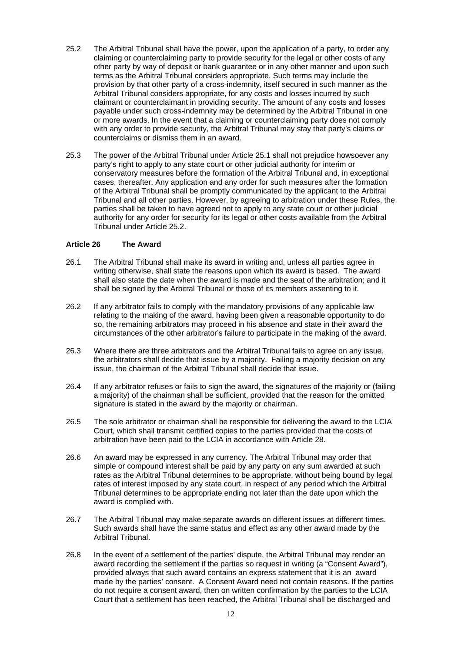- 25.2 The Arbitral Tribunal shall have the power, upon the application of a party, to order any claiming or counterclaiming party to provide security for the legal or other costs of any other party by way of deposit or bank guarantee or in any other manner and upon such terms as the Arbitral Tribunal considers appropriate. Such terms may include the provision by that other party of a cross-indemnity, itself secured in such manner as the Arbitral Tribunal considers appropriate, for any costs and losses incurred by such claimant or counterclaimant in providing security. The amount of any costs and losses payable under such cross-indemnity may be determined by the Arbitral Tribunal in one or more awards. In the event that a claiming or counterclaiming party does not comply with any order to provide security, the Arbitral Tribunal may stay that party's claims or counterclaims or dismiss them in an award.
- 25.3 The power of the Arbitral Tribunal under Article 25.1 shall not prejudice howsoever any party's right to apply to any state court or other judicial authority for interim or conservatory measures before the formation of the Arbitral Tribunal and, in exceptional cases, thereafter. Any application and any order for such measures after the formation of the Arbitral Tribunal shall be promptly communicated by the applicant to the Arbitral Tribunal and all other parties. However, by agreeing to arbitration under these Rules, the parties shall be taken to have agreed not to apply to any state court or other judicial authority for any order for security for its legal or other costs available from the Arbitral Tribunal under Article 25.2.

### **Article 26 The Award**

- 26.1 The Arbitral Tribunal shall make its award in writing and, unless all parties agree in writing otherwise, shall state the reasons upon which its award is based. The award shall also state the date when the award is made and the seat of the arbitration; and it shall be signed by the Arbitral Tribunal or those of its members assenting to it.
- 26.2 If any arbitrator fails to comply with the mandatory provisions of any applicable law relating to the making of the award, having been given a reasonable opportunity to do so, the remaining arbitrators may proceed in his absence and state in their award the circumstances of the other arbitrator's failure to participate in the making of the award.
- 26.3 Where there are three arbitrators and the Arbitral Tribunal fails to agree on any issue, the arbitrators shall decide that issue by a majority. Failing a majority decision on any issue, the chairman of the Arbitral Tribunal shall decide that issue.
- 26.4 If any arbitrator refuses or fails to sign the award, the signatures of the majority or (failing a majority) of the chairman shall be sufficient, provided that the reason for the omitted signature is stated in the award by the majority or chairman.
- 26.5 The sole arbitrator or chairman shall be responsible for delivering the award to the LCIA Court, which shall transmit certified copies to the parties provided that the costs of arbitration have been paid to the LCIA in accordance with Article 28.
- 26.6 An award may be expressed in any currency. The Arbitral Tribunal may order that simple or compound interest shall be paid by any party on any sum awarded at such rates as the Arbitral Tribunal determines to be appropriate, without being bound by legal rates of interest imposed by any state court, in respect of any period which the Arbitral Tribunal determines to be appropriate ending not later than the date upon which the award is complied with.
- 26.7 The Arbitral Tribunal may make separate awards on different issues at different times. Such awards shall have the same status and effect as any other award made by the Arbitral Tribunal.
- 26.8 In the event of a settlement of the parties' dispute, the Arbitral Tribunal may render an award recording the settlement if the parties so request in writing (a "Consent Award"), provided always that such award contains an express statement that it is an award made by the parties' consent. A Consent Award need not contain reasons. If the parties do not require a consent award, then on written confirmation by the parties to the LCIA Court that a settlement has been reached, the Arbitral Tribunal shall be discharged and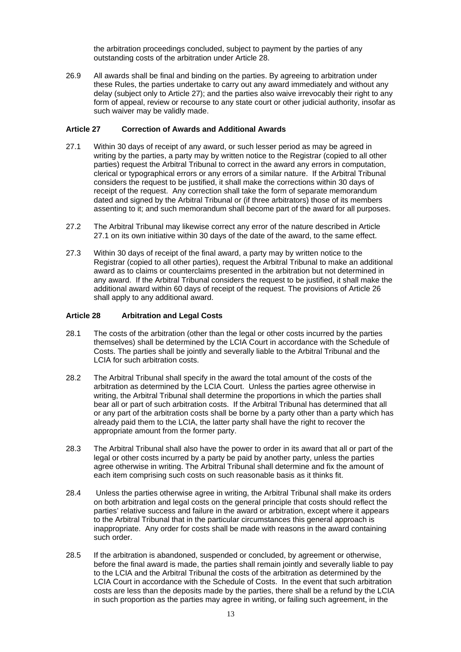the arbitration proceedings concluded, subject to payment by the parties of any outstanding costs of the arbitration under Article 28.

26.9 All awards shall be final and binding on the parties. By agreeing to arbitration under these Rules, the parties undertake to carry out any award immediately and without any delay (subject only to Article 27); and the parties also waive irrevocably their right to any form of appeal, review or recourse to any state court or other judicial authority, insofar as such waiver may be validly made.

### **Article 27 Correction of Awards and Additional Awards**

- 27.1 Within 30 days of receipt of any award, or such lesser period as may be agreed in writing by the parties, a party may by written notice to the Registrar (copied to all other parties) request the Arbitral Tribunal to correct in the award any errors in computation, clerical or typographical errors or any errors of a similar nature. If the Arbitral Tribunal considers the request to be justified, it shall make the corrections within 30 days of receipt of the request. Any correction shall take the form of separate memorandum dated and signed by the Arbitral Tribunal or (if three arbitrators) those of its members assenting to it; and such memorandum shall become part of the award for all purposes.
- 27.2 The Arbitral Tribunal may likewise correct any error of the nature described in Article 27.1 on its own initiative within 30 days of the date of the award, to the same effect.
- 27.3 Within 30 days of receipt of the final award, a party may by written notice to the Registrar (copied to all other parties), request the Arbitral Tribunal to make an additional award as to claims or counterclaims presented in the arbitration but not determined in any award. If the Arbitral Tribunal considers the request to be justified, it shall make the additional award within 60 days of receipt of the request. The provisions of Article 26 shall apply to any additional award.

### **Article 28 Arbitration and Legal Costs**

- 28.1 The costs of the arbitration (other than the legal or other costs incurred by the parties themselves) shall be determined by the LCIA Court in accordance with the Schedule of Costs. The parties shall be jointly and severally liable to the Arbitral Tribunal and the LCIA for such arbitration costs.
- 28.2 The Arbitral Tribunal shall specify in the award the total amount of the costs of the arbitration as determined by the LCIA Court. Unless the parties agree otherwise in writing, the Arbitral Tribunal shall determine the proportions in which the parties shall bear all or part of such arbitration costs. If the Arbitral Tribunal has determined that all or any part of the arbitration costs shall be borne by a party other than a party which has already paid them to the LCIA, the latter party shall have the right to recover the appropriate amount from the former party.
- 28.3 The Arbitral Tribunal shall also have the power to order in its award that all or part of the legal or other costs incurred by a party be paid by another party, unless the parties agree otherwise in writing. The Arbitral Tribunal shall determine and fix the amount of each item comprising such costs on such reasonable basis as it thinks fit.
- 28.4 Unless the parties otherwise agree in writing, the Arbitral Tribunal shall make its orders on both arbitration and legal costs on the general principle that costs should reflect the parties' relative success and failure in the award or arbitration, except where it appears to the Arbitral Tribunal that in the particular circumstances this general approach is inappropriate. Any order for costs shall be made with reasons in the award containing such order.
- 28.5 If the arbitration is abandoned, suspended or concluded, by agreement or otherwise, before the final award is made, the parties shall remain jointly and severally liable to pay to the LCIA and the Arbitral Tribunal the costs of the arbitration as determined by the LCIA Court in accordance with the Schedule of Costs. In the event that such arbitration costs are less than the deposits made by the parties, there shall be a refund by the LCIA in such proportion as the parties may agree in writing, or failing such agreement, in the